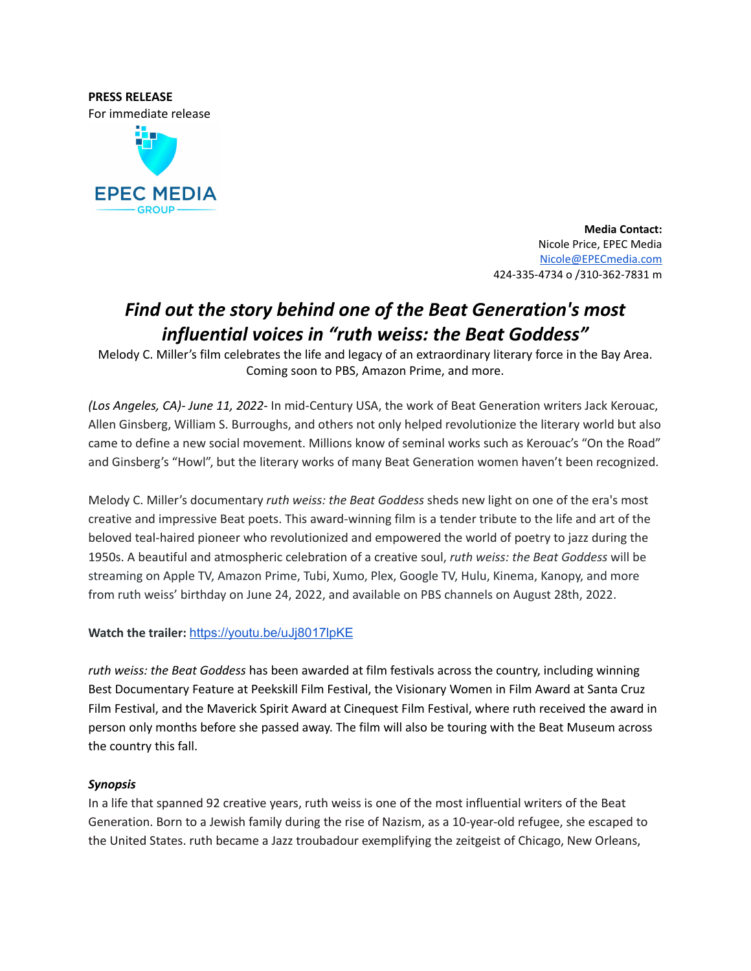## **PRESS RELEASE** For immediate release



**Media Contact:** Nicole Price, EPEC Media [Nicole@EPECmedia.com](mailto:Nicole@EPECmedia.com) 424-335-4734 o /310-362-7831 m

## *Find out the story behind one of the Beat Generation's most influential voices in "ruth weiss: the Beat Goddess"*

Melody C. Miller's film celebrates the life and legacy of an extraordinary literary force in the Bay Area. Coming soon to PBS, Amazon Prime, and more.

*(Los Angeles, CA)- June 11, 2022-* In mid-Century USA, the work of Beat Generation writers Jack Kerouac, Allen Ginsberg, William S. Burroughs, and others not only helped revolutionize the literary world but also came to define a new social movement. Millions know of seminal works such as Kerouac's "On the Road" and Ginsberg's "Howl", but the literary works of many Beat Generation women haven't been recognized.

Melody C. Miller's documentary *ruth weiss: the Beat Goddess* sheds new light on one of the era's most creative and impressive Beat poets. This award-winning film is a tender tribute to the life and art of the beloved teal-haired pioneer who revolutionized and empowered the world of poetry to jazz during the 1950s. A beautiful and atmospheric celebration of a creative soul, *ruth weiss: the Beat Goddess* will be streaming on Apple TV, Amazon Prime, Tubi, Xumo, Plex, Google TV, Hulu, Kinema, Kanopy, and more from ruth weiss' birthday on June 24, 2022, and available on PBS channels on August 28th, 2022.

## **Watch the trailer:** <https://youtu.be/uJj8017lpKE>

*ruth weiss: the Beat Goddess* has been awarded at film festivals across the country, including winning Best Documentary Feature at Peekskill Film Festival, the Visionary Women in Film Award at Santa Cruz Film Festival, and the Maverick Spirit Award at Cinequest Film Festival, where ruth received the award in person only months before she passed away. The film will also be touring with the Beat Museum across the country this fall.

## *Synopsis*

In a life that spanned 92 creative years, ruth weiss is one of the most influential writers of the Beat Generation. Born to a Jewish family during the rise of Nazism, as a 10-year-old refugee, she escaped to the United States. ruth became a Jazz troubadour exemplifying the zeitgeist of Chicago, New Orleans,